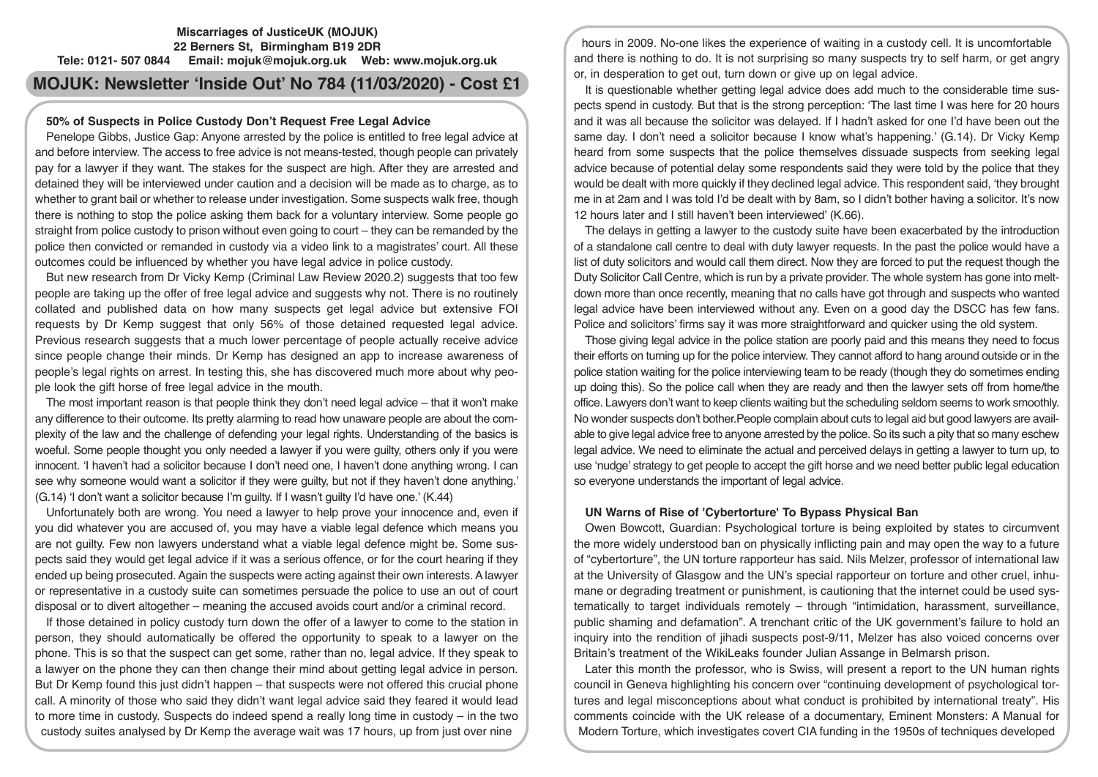# **Miscarriages of JusticeUK (MOJUK) 22 Berners St, Birmingham B19 2DR Tele: 0121- 507 0844 Email: mojuk@mojuk.org.uk Web: www.mojuk.org.uk**

# **MOJUK: Newsletter 'Inside Out' No 784 (11/03/2020) - Cost £1**

# **50% of Suspects in Police Custody Don't Request Free Legal Advice**

Penelope Gibbs, Justice Gap: Anyone arrested by the police is entitled to free legal advice at and before interview. The access to free advice is not means-tested, though people can privately pay for a lawyer if they want. The stakes for the suspect are high. After they are arrested and detained they will be interviewed under caution and a decision will be made as to charge, as to whether to grant bail or whether to release under investigation. Some suspects walk free, though there is nothing to stop the police asking them back for a voluntary interview. Some people go straight from police custody to prison without even going to court – they can be remanded by the police then convicted or remanded in custody via a video link to a magistrates' court. All these outcomes could be influenced by whether you have legal advice in police custody.

But new research from Dr Vicky Kemp (Criminal Law Review 2020.2) suggests that too few people are taking up the offer of free legal advice and suggests why not. There is no routinely collated and published data on how many suspects get legal advice but extensive FOI requests by Dr Kemp suggest that only 56% of those detained requested legal advice. Previous research suggests that a much lower percentage of people actually receive advice since people change their minds. Dr Kemp has designed an app to increase awareness of people's legal rights on arrest. In testing this, she has discovered much more about why people look the gift horse of free legal advice in the mouth.

The most important reason is that people think they don't need legal advice – that it won't make any difference to their outcome. Its pretty alarming to read how unaware people are about the complexity of the law and the challenge of defending your legal rights. Understanding of the basics is woeful. Some people thought you only needed a lawyer if you were guilty, others only if you were innocent. 'I haven't had a solicitor because I don't need one, I haven't done anything wrong. I can see why someone would want a solicitor if they were guilty, but not if they haven't done anything.' (G.14) 'I don't want a solicitor because I'm guilty. If I wasn't guilty I'd have one.' (K.44)

Unfortunately both are wrong. You need a lawyer to help prove your innocence and, even if you did whatever you are accused of, you may have a viable legal defence which means you are not guilty. Few non lawyers understand what a viable legal defence might be. Some suspects said they would get legal advice if it was a serious offence, or for the court hearing if they ended up being prosecuted. Again the suspects were acting against their own interests. A lawyer or representative in a custody suite can sometimes persuade the police to use an out of court disposal or to divert altogether – meaning the accused avoids court and/or a criminal record.

If those detained in policy custody turn down the offer of a lawyer to come to the station in person, they should automatically be offered the opportunity to speak to a lawyer on the phone. This is so that the suspect can get some, rather than no, legal advice. If they speak to a lawyer on the phone they can then change their mind about getting legal advice in person. But Dr Kemp found this just didn't happen – that suspects were not offered this crucial phone call. A minority of those who said they didn't want legal advice said they feared it would lead to more time in custody. Suspects do indeed spend a really long time in custody – in the two custody suites analysed by Dr Kemp the average wait was 17 hours, up from just over nine

hours in 2009. No-one likes the experience of waiting in a custody cell. It is uncomfortable and there is nothing to do. It is not surprising so many suspects try to self harm, or get angry or, in desperation to get out, turn down or give up on legal advice.

It is questionable whether getting legal advice does add much to the considerable time suspects spend in custody. But that is the strong perception: 'The last time I was here for 20 hours and it was all because the solicitor was delayed. If I hadn't asked for one I'd have been out the same day. I don't need a solicitor because I know what's happening.' (G.14). Dr Vicky Kemp heard from some suspects that the police themselves dissuade suspects from seeking legal advice because of potential delay some respondents said they were told by the police that they would be dealt with more quickly if they declined legal advice. This respondent said, 'they brought me in at 2am and I was told I'd be dealt with by 8am, so I didn't bother having a solicitor. It's now 12 hours later and I still haven't been interviewed' (K.66).

The delays in getting a lawyer to the custody suite have been exacerbated by the introduction of a standalone call centre to deal with duty lawyer requests. In the past the police would have a list of duty solicitors and would call them direct. Now they are forced to put the request though the Duty Solicitor Call Centre, which is run by a private provider. The whole system has gone into meltdown more than once recently, meaning that no calls have got through and suspects who wanted legal advice have been interviewed without any. Even on a good day the DSCC has few fans. Police and solicitors' firms say it was more straightforward and quicker using the old system.

Those giving legal advice in the police station are poorly paid and this means they need to focus their efforts on turning up for the police interview. They cannot afford to hang around outside or in the police station waiting for the police interviewing team to be ready (though they do sometimes ending up doing this). So the police call when they are ready and then the lawyer sets off from home/the office. Lawyers don't want to keep clients waiting but the scheduling seldom seems to work smoothly. No wonder suspects don't bother.People complain about cuts to legal aid but good lawyers are available to give legal advice free to anyone arrested by the police. So its such a pity that so many eschew legal advice. We need to eliminate the actual and perceived delays in getting a lawyer to turn up, to use 'nudge' strategy to get people to accept the gift horse and we need better public legal education so everyone understands the important of legal advice.

# **UN Warns of Rise of 'Cybertorture' To Bypass Physical Ban**

Owen Bowcott, Guardian: Psychological torture is being exploited by states to circumvent the more widely understood ban on physically inflicting pain and may open the way to a future of "cybertorture", the UN torture rapporteur has said. Nils Melzer, professor of international law at the University of Glasgow and the UN's special rapporteur on torture and other cruel, inhumane or degrading treatment or punishment, is cautioning that the internet could be used systematically to target individuals remotely – through "intimidation, harassment, surveillance, public shaming and defamation". A trenchant critic of the UK government's failure to hold an inquiry into the rendition of jihadi suspects post-9/11, Melzer has also voiced concerns over Britain's treatment of the WikiLeaks founder Julian Assange in Belmarsh prison.

Later this month the professor, who is Swiss, will present a report to the UN human rights council in Geneva highlighting his concern over "continuing development of psychological tortures and legal misconceptions about what conduct is prohibited by international treaty". His comments coincide with the UK release of a documentary, Eminent Monsters: A Manual for Modern Torture, which investigates covert CIA funding in the 1950s of techniques developed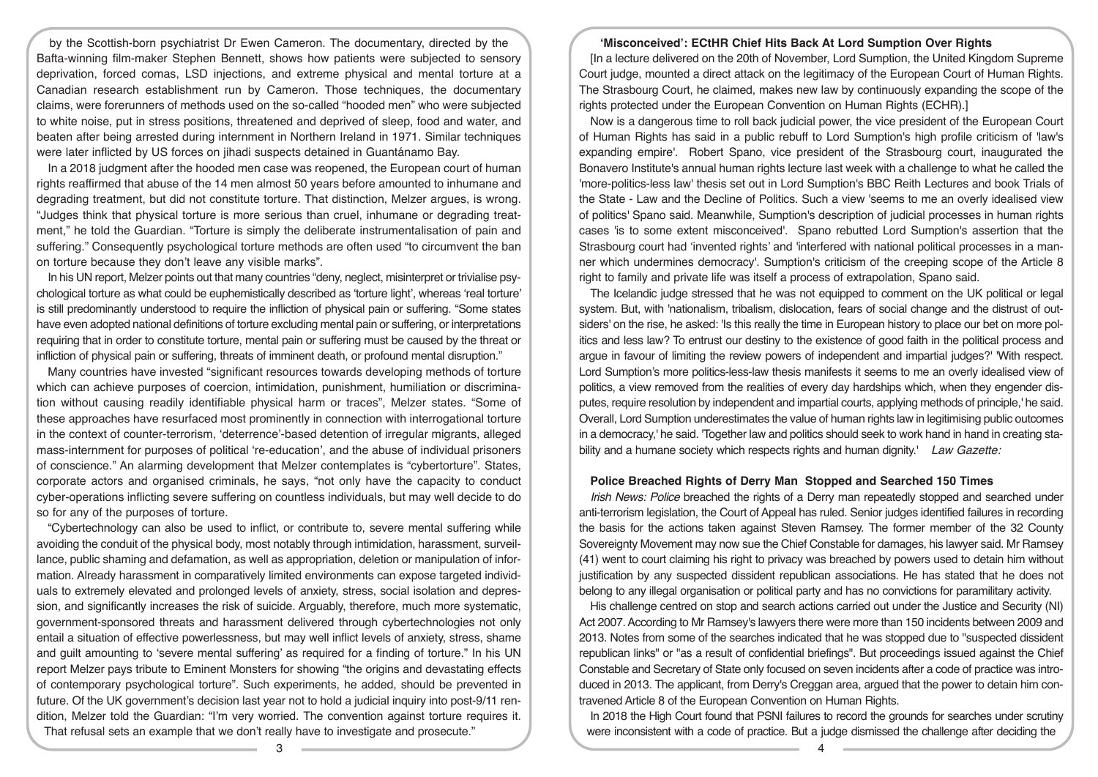by the Scottish-born psychiatrist Dr Ewen Cameron. The documentary, directed by the Bafta-winning film-maker Stephen Bennett, shows how patients were subjected to sensory deprivation, forced comas, LSD injections, and extreme physical and mental torture at a Canadian research establishment run by Cameron. Those techniques, the documentary claims, were forerunners of methods used on the so-called "hooded men" who were subjected to white noise, put in stress positions, threatened and deprived of sleep, food and water, and beaten after being arrested during internment in Northern Ireland in 1971. Similar techniques were later inflicted by US forces on jihadi suspects detained in Guantánamo Bay.

In a 2018 judgment after the hooded men case was reopened, the European court of human rights reaffirmed that abuse of the 14 men almost 50 years before amounted to inhumane and degrading treatment, but did not constitute torture. That distinction, Melzer argues, is wrong. "Judges think that physical torture is more serious than cruel, inhumane or degrading treatment," he told the Guardian. "Torture is simply the deliberate instrumentalisation of pain and suffering." Consequently psychological torture methods are often used "to circumvent the ban on torture because they don't leave any visible marks".

In his UN report, Melzer points out that many countries "deny, neglect, misinterpret or trivialise psychological torture as what could be euphemistically described as 'torture light', whereas 'real torture' is still predominantly understood to require the infliction of physical pain or suffering. "Some states have even adopted national definitions of torture excluding mental pain or suffering, or interpretations requiring that in order to constitute torture, mental pain or suffering must be caused by the threat or infliction of physical pain or suffering, threats of imminent death, or profound mental disruption."

Many countries have invested "significant resources towards developing methods of torture which can achieve purposes of coercion, intimidation, punishment, humiliation or discrimination without causing readily identifiable physical harm or traces", Melzer states. "Some of these approaches have resurfaced most prominently in connection with interrogational torture in the context of counter-terrorism, 'deterrence'-based detention of irregular migrants, alleged mass-internment for purposes of political 're-education', and the abuse of individual prisoners of conscience." An alarming development that Melzer contemplates is "cybertorture". States, corporate actors and organised criminals, he says, "not only have the capacity to conduct cyber-operations inflicting severe suffering on countless individuals, but may well decide to do so for any of the purposes of torture.

"Cybertechnology can also be used to inflict, or contribute to, severe mental suffering while avoiding the conduit of the physical body, most notably through intimidation, harassment, surveillance, public shaming and defamation, as well as appropriation, deletion or manipulation of information. Already harassment in comparatively limited environments can expose targeted individuals to extremely elevated and prolonged levels of anxiety, stress, social isolation and depression, and significantly increases the risk of suicide. Arguably, therefore, much more systematic, government-sponsored threats and harassment delivered through cybertechnologies not only entail a situation of effective powerlessness, but may well inflict levels of anxiety, stress, shame and guilt amounting to 'severe mental suffering' as required for a finding of torture." In his UN report Melzer pays tribute to Eminent Monsters for showing "the origins and devastating effects of contemporary psychological torture". Such experiments, he added, should be prevented in future. Of the UK government's decision last year not to hold a judicial inquiry into post-9/11 rendition, Melzer told the Guardian: "I'm very worried. The convention against torture requires it. That refusal sets an example that we don't really have to investigate and prosecute."

# **'Misconceived': ECtHR Chief Hits Back At Lord Sumption Over Rights**

[In a lecture delivered on the 20th of November, Lord Sumption, the United Kingdom Supreme Court judge, mounted a direct attack on the legitimacy of the European Court of Human Rights. The Strasbourg Court, he claimed, makes new law by continuously expanding the scope of the rights protected under the European Convention on Human Rights (ECHR).]

Now is a dangerous time to roll back judicial power, the vice president of the European Court of Human Rights has said in a public rebuff to Lord Sumption's high profile criticism of 'law's expanding empire'. Robert Spano, vice president of the Strasbourg court, inaugurated the Bonavero Institute's annual human rights lecture last week with a challenge to what he called the 'more-politics-less law' thesis set out in Lord Sumption's BBC Reith Lectures and book Trials of the State - Law and the Decline of Politics. Such a view 'seems to me an overly idealised view of politics' Spano said. Meanwhile, Sumption's description of judicial processes in human rights cases 'is to some extent misconceived'. Spano rebutted Lord Sumption's assertion that the Strasbourg court had 'invented rights' and 'interfered with national political processes in a manner which undermines democracy'. Sumption's criticism of the creeping scope of the Article 8 right to family and private life was itself a process of extrapolation, Spano said.

The Icelandic judge stressed that he was not equipped to comment on the UK political or legal system. But, with 'nationalism, tribalism, dislocation, fears of social change and the distrust of outsiders' on the rise, he asked: 'Is this really the time in European history to place our bet on more politics and less law? To entrust our destiny to the existence of good faith in the political process and argue in favour of limiting the review powers of independent and impartial judges?' 'With respect. Lord Sumption's more politics-less-law thesis manifests it seems to me an overly idealised view of politics, a view removed from the realities of every day hardships which, when they engender disputes, require resolution by independent and impartial courts, applying methods of principle,' he said. Overall, Lord Sumption underestimates the value of human rights law in legitimising public outcomes in a democracy,' he said. 'Together law and politics should seek to work hand in hand in creating stability and a humane society which respects rights and human dignity.' *Law Gazette:*

## **Police Breached Rights of Derry Man Stopped and Searched 150 Times**

*Irish News: Police* breached the rights of a Derry man repeatedly stopped and searched under anti-terrorism legislation, the Court of Appeal has ruled. Senior judges identified failures in recording the basis for the actions taken against Steven Ramsey. The former member of the 32 County Sovereignty Movement may now sue the Chief Constable for damages, his lawyer said. Mr Ramsey (41) went to court claiming his right to privacy was breached by powers used to detain him without justification by any suspected dissident republican associations. He has stated that he does not belong to any illegal organisation or political party and has no convictions for paramilitary activity.

His challenge centred on stop and search actions carried out under the Justice and Security (NI) Act 2007. According to Mr Ramsey's lawyers there were more than 150 incidents between 2009 and 2013. Notes from some of the searches indicated that he was stopped due to "suspected dissident republican links" or "as a result of confidential briefings". But proceedings issued against the Chief Constable and Secretary of State only focused on seven incidents after a code of practice was introduced in 2013. The applicant, from Derry's Creggan area, argued that the power to detain him contravened Article 8 of the European Convention on Human Rights.

In 2018 the High Court found that PSNI failures to record the grounds for searches under scrutiny were inconsistent with a code of practice. But a judge dismissed the challenge after deciding the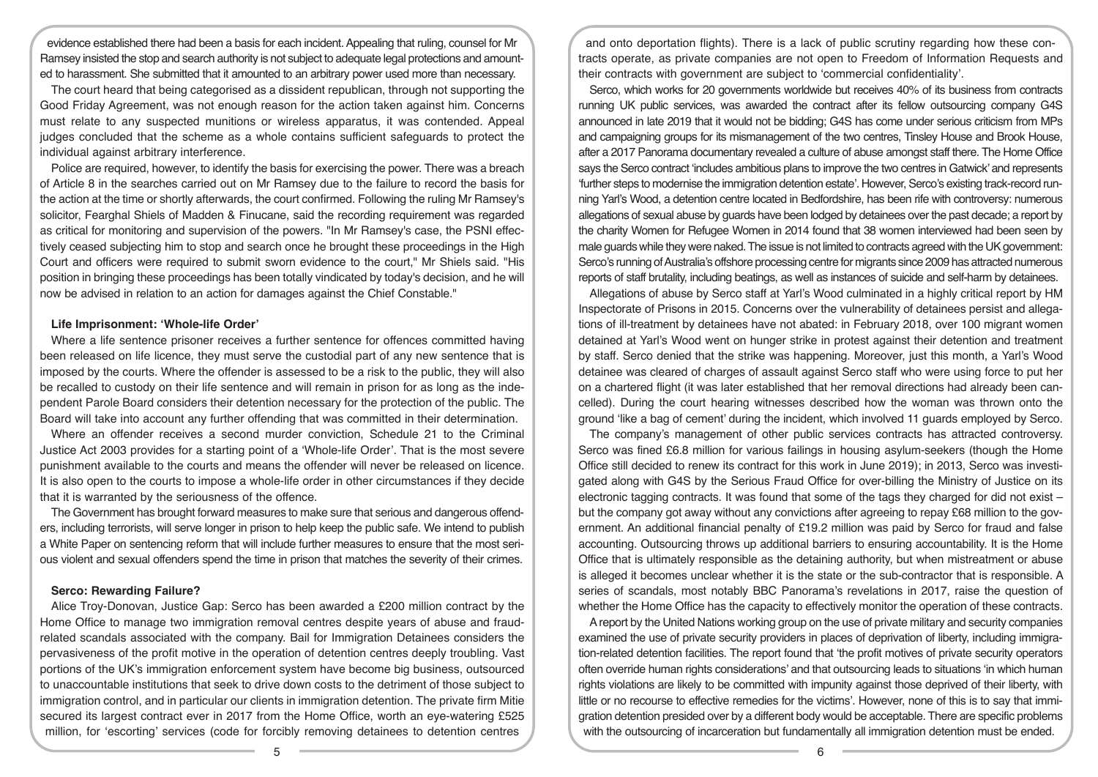evidence established there had been a basis for each incident. Appealing that ruling, counsel for Mr Ramsey insisted the stop and search authority is not subject to adequate legal protections and amounted to harassment. She submitted that it amounted to an arbitrary power used more than necessary.

The court heard that being categorised as a dissident republican, through not supporting the Good Friday Agreement, was not enough reason for the action taken against him. Concerns must relate to any suspected munitions or wireless apparatus, it was contended. Appeal judges concluded that the scheme as a whole contains sufficient safeguards to protect the individual against arbitrary interference.

Police are required, however, to identify the basis for exercising the power. There was a breach of Article 8 in the searches carried out on Mr Ramsey due to the failure to record the basis for the action at the time or shortly afterwards, the court confirmed. Following the ruling Mr Ramsey's solicitor, Fearghal Shiels of Madden & Finucane, said the recording requirement was regarded as critical for monitoring and supervision of the powers. "In Mr Ramsey's case, the PSNI effectively ceased subjecting him to stop and search once he brought these proceedings in the High Court and officers were required to submit sworn evidence to the court," Mr Shiels said. "His position in bringing these proceedings has been totally vindicated by today's decision, and he will now be advised in relation to an action for damages against the Chief Constable."

#### **Life Imprisonment: 'Whole-life Order'**

Where a life sentence prisoner receives a further sentence for offences committed having been released on life licence, they must serve the custodial part of any new sentence that is imposed by the courts. Where the offender is assessed to be a risk to the public, they will also be recalled to custody on their life sentence and will remain in prison for as long as the independent Parole Board considers their detention necessary for the protection of the public. The Board will take into account any further offending that was committed in their determination.

Where an offender receives a second murder conviction, Schedule 21 to the Criminal Justice Act 2003 provides for a starting point of a 'Whole-life Order'. That is the most severe punishment available to the courts and means the offender will never be released on licence. It is also open to the courts to impose a whole-life order in other circumstances if they decide that it is warranted by the seriousness of the offence.

The Government has brought forward measures to make sure that serious and dangerous offenders, including terrorists, will serve longer in prison to help keep the public safe. We intend to publish a White Paper on sentencing reform that will include further measures to ensure that the most serious violent and sexual offenders spend the time in prison that matches the severity of their crimes.

#### **Serco: Rewarding Failure?**

Alice Troy-Donovan, Justice Gap: Serco has been awarded a £200 million contract by the Home Office to manage two immigration removal centres despite years of abuse and fraudrelated scandals associated with the company. Bail for Immigration Detainees considers the pervasiveness of the profit motive in the operation of detention centres deeply troubling. Vast portions of the UK's immigration enforcement system have become big business, outsourced to unaccountable institutions that seek to drive down costs to the detriment of those subject to immigration control, and in particular our clients in immigration detention. The private firm Mitie secured its largest contract ever in 2017 from the Home Office, worth an eve-watering £525 million, for 'escorting' services (code for forcibly removing detainees to detention centres

and onto deportation flights). There is a lack of public scrutiny regarding how these contracts operate, as private companies are not open to Freedom of Information Requests and their contracts with government are subject to 'commercial confidentiality'.

Serco, which works for 20 governments worldwide but receives 40% of its business from contracts running UK public services, was awarded the contract after its fellow outsourcing company G4S announced in late 2019 that it would not be bidding; G4S has come under serious criticism from MPs and campaigning groups for its mismanagement of the two centres, Tinsley House and Brook House, after a 2017 Panorama documentary revealed a culture of abuse amongst staff there. The Home Office says the Serco contract 'includes ambitious plans to improve the two centres in Gatwick' and represents 'further steps to modernise the immigration detention estate'. However, Serco's existing track-record running Yarl's Wood, a detention centre located in Bedfordshire, has been rife with controversy: numerous allegations of sexual abuse by guards have been lodged by detainees over the past decade; a report by the charity Women for Refugee Women in 2014 found that 38 women interviewed had been seen by male guards while they were naked. The issue is not limited to contracts agreed with the UK government: Serco's running of Australia's offshore processing centre for migrants since 2009 has attracted numerous reports of staff brutality, including beatings, as well as instances of suicide and self-harm by detainees.

Allegations of abuse by Serco staff at Yarl's Wood culminated in a highly critical report by HM Inspectorate of Prisons in 2015. Concerns over the vulnerability of detainees persist and allegations of ill-treatment by detainees have not abated: in February 2018, over 100 migrant women detained at Yarl's Wood went on hunger strike in protest against their detention and treatment by staff. Serco denied that the strike was happening. Moreover, just this month, a Yarl's Wood detainee was cleared of charges of assault against Serco staff who were using force to put her on a chartered flight (it was later established that her removal directions had already been cancelled). During the court hearing witnesses described how the woman was thrown onto the ground 'like a bag of cement' during the incident, which involved 11 guards employed by Serco.

The company's management of other public services contracts has attracted controversy. Serco was fined £6.8 million for various failings in housing asylum-seekers (though the Home Office still decided to renew its contract for this work in June 2019); in 2013, Serco was investigated along with G4S by the Serious Fraud Office for over-billing the Ministry of Justice on its electronic tagging contracts. It was found that some of the tags they charged for did not exist – but the company got away without any convictions after agreeing to repay £68 million to the government. An additional financial penalty of £19.2 million was paid by Serco for fraud and false accounting. Outsourcing throws up additional barriers to ensuring accountability. It is the Home Office that is ultimately responsible as the detaining authority, but when mistreatment or abuse is alleged it becomes unclear whether it is the state or the sub-contractor that is responsible. A series of scandals, most notably BBC Panorama's revelations in 2017, raise the question of whether the Home Office has the capacity to effectively monitor the operation of these contracts.

A report by the United Nations working group on the use of private military and security companies examined the use of private security providers in places of deprivation of liberty, including immigration-related detention facilities. The report found that 'the profit motives of private security operators often override human rights considerations' and that outsourcing leads to situations 'in which human rights violations are likely to be committed with impunity against those deprived of their liberty, with little or no recourse to effective remedies for the victims'. However, none of this is to say that immigration detention presided over by a different body would be acceptable. There are specific problems with the outsourcing of incarceration but fundamentally all immigration detention must be ended.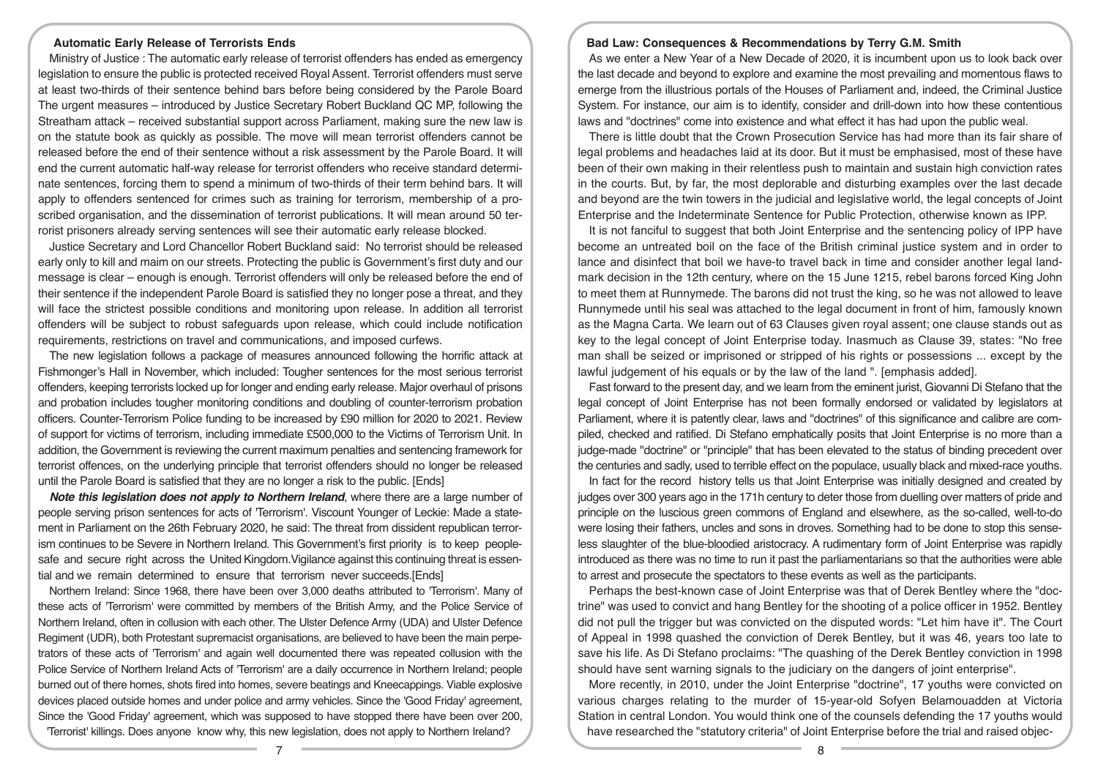## **Automatic Early Release of Terrorists Ends**

Ministry of Justice : The automatic early release of terrorist offenders has ended as emergency legislation to ensure the public is protected received Royal Assent. Terrorist offenders must serve at least two-thirds of their sentence behind bars before being considered by the Parole Board The urgent measures – introduced by Justice Secretary Robert Buckland QC MP, following the Streatham attack – received substantial support across Parliament, making sure the new law is on the statute book as quickly as possible. The move will mean terrorist offenders cannot be released before the end of their sentence without a risk assessment by the Parole Board. It will end the current automatic half-way release for terrorist offenders who receive standard determinate sentences, forcing them to spend a minimum of two-thirds of their term behind bars. It will apply to offenders sentenced for crimes such as training for terrorism, membership of a proscribed organisation, and the dissemination of terrorist publications. It will mean around 50 terrorist prisoners already serving sentences will see their automatic early release blocked.

Justice Secretary and Lord Chancellor Robert Buckland said: No terrorist should be released early only to kill and maim on our streets. Protecting the public is Government's first duty and our message is clear – enough is enough. Terrorist offenders will only be released before the end of their sentence if the independent Parole Board is satisfied they no longer pose a threat, and they will face the strictest possible conditions and monitoring upon release. In addition all terrorist offenders will be subject to robust safeguards upon release, which could include notification requirements, restrictions on travel and communications, and imposed curfews.

The new legislation follows a package of measures announced following the horrific attack at Fishmonger's Hall in November, which included: Tougher sentences for the most serious terrorist offenders, keeping terrorists locked up for longer and ending early release. Major overhaul of prisons and probation includes tougher monitoring conditions and doubling of counter-terrorism probation officers. Counter-Terrorism Police funding to be increased by £90 million for 2020 to 2021. Review of support for victims of terrorism, including immediate £500,000 to the Victims of Terrorism Unit. In addition, the Government is reviewing the current maximum penalties and sentencing framework for terrorist offences, on the underlying principle that terrorist offenders should no longer be released until the Parole Board is satisfied that they are no longer a risk to the public. [Ends]

*Note this legislation does not apply to Northern Ireland*, where there are a large number of people serving prison sentences for acts of 'Terrorism'. Viscount Younger of Leckie: Made a statement in Parliament on the 26th February 2020, he said: The threat from dissident republican terrorism continues to be Severe in Northern Ireland. This Government's first priority is to keep peoplesafe and secure right across the United Kingdom.Vigilance against this continuing threat is essential and we remain determined to ensure that terrorism never succeeds.[Ends]

Northern Ireland: Since 1968, there have been over 3,000 deaths attributed to 'Terrorism'. Many of these acts of 'Terrorism' were committed by members of the British Army, and the Police Service of Northern Ireland, often in collusion with each other. The Ulster Defence Army (UDA) and Ulster Defence Regiment (UDR), both Protestant supremacist organisations, are believed to have been the main perpetrators of these acts of 'Terrorism' and again well documented there was repeated collusion with the Police Service of Northern Ireland Acts of 'Terrorism' are a daily occurrence in Northern Ireland; people burned out of there homes, shots fired into homes, severe beatings and Kneecappings. Viable explosive devices placed outside homes and under police and army vehicles. Since the 'Good Friday' agreement, Since the 'Good Friday' agreement, which was supposed to have stopped there have been over 200, 'Terrorist' killings. Does anyone know why, this new legislation, does not apply to Northern Ireland?

#### **Bad Law: Consequences & Recommendations by Terry G.M. Smith**

As we enter a New Year of a New Decade of 2020, it is incumbent upon us to look back over the last decade and beyond to explore and examine the most prevailing and momentous flaws to emerge from the illustrious portals of the Houses of Parliament and, indeed, the Criminal Justice System. For instance, our aim is to identify, consider and drill-down into how these contentious laws and "doctrines" come into existence and what effect it has had upon the public weal.

There is little doubt that the Crown Prosecution Service has had more than its fair share of legal problems and headaches laid at its door. But it must be emphasised, most of these have been of their own making in their relentless push to maintain and sustain high conviction rates in the courts. But, by far, the most deplorable and disturbing examples over the last decade and beyond are the twin towers in the judicial and legislative world, the legal concepts of Joint Enterprise and the Indeterminate Sentence for Public Protection, otherwise known as IPP.

It is not fanciful to suggest that both Joint Enterprise and the sentencing policy of IPP have become an untreated boil on the face of the British criminal justice system and in order to lance and disinfect that boil we have-to travel back in time and consider another legal landmark decision in the 12th century, where on the 15 June 1215, rebel barons forced King John to meet them at Runnymede. The barons did not trust the king, so he was not allowed to leave Runnymede until his seal was attached to the legal document in front of him, famously known as the Magna Carta. We learn out of 63 Clauses given royal assent; one clause stands out as key to the legal concept of Joint Enterprise today. Inasmuch as Clause 39, states: "No free man shall be seized or imprisoned or stripped of his rights or possessions ... except by the lawful judgement of his equals or by the law of the land ". [emphasis added].

Fast forward to the present day, and we learn from the eminent jurist, Giovanni Di Stefano that the legal concept of Joint Enterprise has not been formally endorsed or validated by legislators at Parliament, where it is patently clear, laws and "doctrines" of this significance and calibre are compiled, checked and ratified. Di Stefano emphatically posits that Joint Enterprise is no more than a judge-made "doctrine" or "principle" that has been elevated to the status of binding precedent over the centuries and sadly, used to terrible effect on the populace, usually black and mixed-race youths.

In fact for the record history tells us that Joint Enterprise was initially designed and created by judges over 300 years ago in the 171h century to deter those from duelling over matters of pride and principle on the luscious green commons of England and elsewhere, as the so-called, well-to-do were losing their fathers, uncles and sons in droves. Something had to be done to stop this senseless slaughter of the blue-bloodied aristocracy. A rudimentary form of Joint Enterprise was rapidly introduced as there was no time to run it past the parliamentarians so that the authorities were able to arrest and prosecute the spectators to these events as well as the participants.

Perhaps the best-known case of Joint Enterprise was that of Derek Bentley where the "doctrine" was used to convict and hang Bentley for the shooting of a police officer in 1952. Bentley did not pull the trigger but was convicted on the disputed words: "Let him have it". The Court of Appeal in 1998 quashed the conviction of Derek Bentley, but it was 46, years too late to save his life. As Di Stefano proclaims: "The quashing of the Derek Bentley conviction in 1998 should have sent warning signals to the judiciary on the dangers of joint enterprise".

More recently, in 2010, under the Joint Enterprise "doctrine", 17 youths were convicted on various charges relating to the murder of 15-year-old Sofyen Belamouadden at Victoria Station in central London. You would think one of the counsels defending the 17 youths would have researched the "statutory criteria" of Joint Enterprise before the trial and raised objec-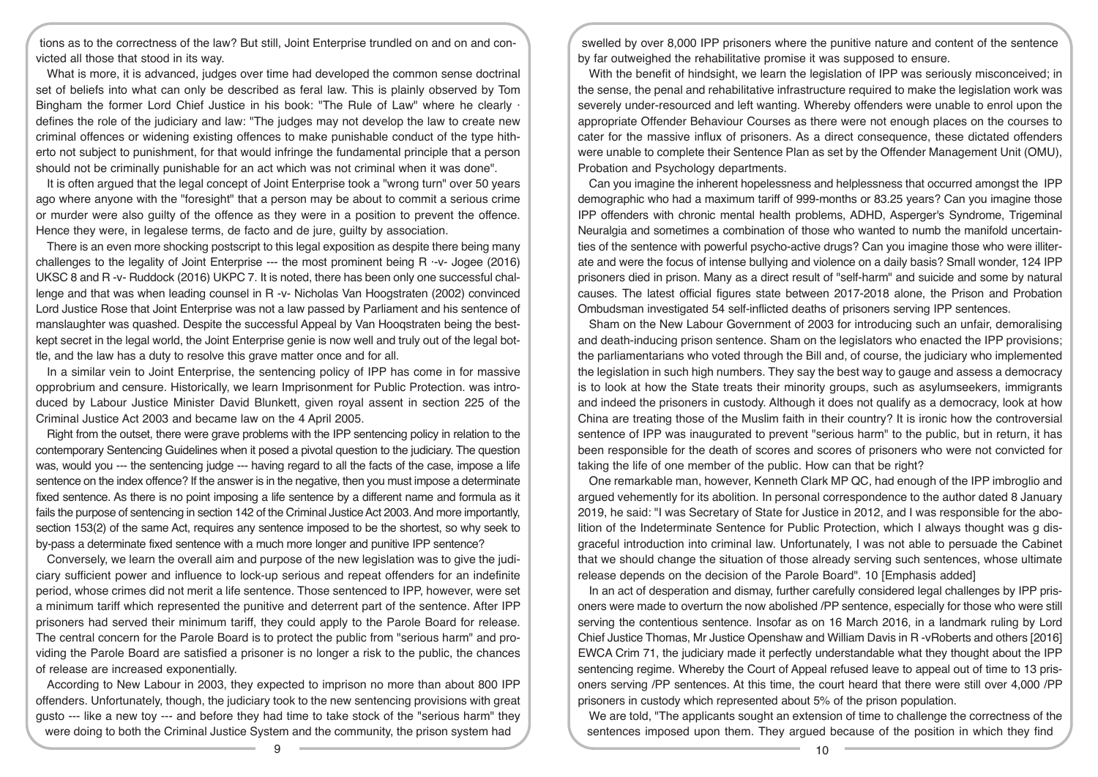tions as to the correctness of the law? But still, Joint Enterprise trundled on and on and convicted all those that stood in its way.

What is more, it is advanced, judges over time had developed the common sense doctrinal set of beliefs into what can only be described as feral law. This is plainly observed by Tom Bingham the former Lord Chief Justice in his book: "The Rule of Law" where he clearly · defines the role of the judiciary and law: "The judges may not develop the law to create new criminal offences or widening existing offences to make punishable conduct of the type hitherto not subject to punishment, for that would infringe the fundamental principle that a person should not be criminally punishable for an act which was not criminal when it was done".

It is often argued that the legal concept of Joint Enterprise took a "wrong turn" over 50 years ago where anyone with the "foresight" that a person may be about to commit a serious crime or murder were also guilty of the offence as they were in a position to prevent the offence. Hence they were, in legalese terms, de facto and de jure, guilty by association.

There is an even more shocking postscript to this legal exposition as despite there being many challenges to the legality of Joint Enterprise --- the most prominent being R ·-v- Jogee (2016) UKSC 8 and R -v- Ruddock (2016) UKPC 7. It is noted, there has been only one successful challenge and that was when leading counsel in R -v- Nicholas Van Hoogstraten (2002) convinced Lord Justice Rose that Joint Enterprise was not a law passed by Parliament and his sentence of manslaughter was quashed. Despite the successful Appeal by Van Hooqstraten being the bestkept secret in the legal world, the Joint Enterprise genie is now well and truly out of the legal bottle, and the law has a duty to resolve this grave matter once and for all.

In a similar vein to Joint Enterprise, the sentencing policy of IPP has come in for massive opprobrium and censure. Historically, we learn Imprisonment for Public Protection. was introduced by Labour Justice Minister David Blunkett, given royal assent in section 225 of the Criminal Justice Act 2003 and became law on the 4 April 2005.

Right from the outset, there were grave problems with the IPP sentencing policy in relation to the contemporary Sentencing Guidelines when it posed a pivotal question to the judiciary. The question was, would you --- the sentencing judge --- having regard to all the facts of the case, impose a life sentence on the index offence? If the answer is in the negative, then you must impose a determinate fixed sentence. As there is no point imposing a life sentence by a different name and formula as it fails the purpose of sentencing in section 142 of the Criminal Justice Act 2003. And more importantly, section 153(2) of the same Act, requires any sentence imposed to be the shortest, so why seek to by-pass a determinate fixed sentence with a much more longer and punitive IPP sentence?

Conversely, we learn the overall aim and purpose of the new legislation was to give the judiciary sufficient power and influence to lock-up serious and repeat offenders for an indefinite period, whose crimes did not merit a life sentence. Those sentenced to IPP, however, were set a minimum tariff which represented the punitive and deterrent part of the sentence. After IPP prisoners had served their minimum tariff, they could apply to the Parole Board for release. The central concern for the Parole Board is to protect the public from "serious harm" and providing the Parole Board are satisfied a prisoner is no longer a risk to the public, the chances of release are increased exponentially.

According to New Labour in 2003, they expected to imprison no more than about 800 IPP offenders. Unfortunately, though, the judiciary took to the new sentencing provisions with great gusto --- like a new toy --- and before they had time to take stock of the "serious harm" they were doing to both the Criminal Justice System and the community, the prison system had

swelled by over 8,000 IPP prisoners where the punitive nature and content of the sentence by far outweighed the rehabilitative promise it was supposed to ensure.

With the benefit of hindsight, we learn the legislation of IPP was seriously misconceived; in the sense, the penal and rehabilitative infrastructure required to make the legislation work was severely under-resourced and left wanting. Whereby offenders were unable to enrol upon the appropriate Offender Behaviour Courses as there were not enough places on the courses to cater for the massive influx of prisoners. As a direct consequence, these dictated offenders were unable to complete their Sentence Plan as set by the Offender Management Unit (OMU), Probation and Psychology departments.

Can you imagine the inherent hopelessness and helplessness that occurred amongst the IPP demographic who had a maximum tariff of 999-months or 83.25 years? Can you imagine those IPP offenders with chronic mental health problems, ADHD, Asperger's Syndrome, Trigeminal Neuralgia and sometimes a combination of those who wanted to numb the manifold uncertainties of the sentence with powerful psycho-active drugs? Can you imagine those who were illiterate and were the focus of intense bullying and violence on a daily basis? Small wonder, 124 IPP prisoners died in prison. Many as a direct result of "self-harm" and suicide and some by natural causes. The latest official figures state between 2017-2018 alone, the Prison and Probation Ombudsman investigated 54 self-inflicted deaths of prisoners serving IPP sentences.

Sham on the New Labour Government of 2003 for introducing such an unfair, demoralising and death-inducing prison sentence. Sham on the legislators who enacted the IPP provisions; the parliamentarians who voted through the Bill and, of course, the judiciary who implemented the legislation in such high numbers. They say the best way to gauge and assess a democracy is to look at how the State treats their minority groups, such as asylum seekers, immigrants and indeed the prisoners in custody. Although it does not qualify as a democracy, look at how China are treating those of the Muslim faith in their country? It is ironic how the controversial sentence of IPP was inaugurated to prevent "serious harm" to the public, but in return, it has been responsible for the death of scores and scores of prisoners who were not convicted for taking the life of one member of the public. How can that be right?

One remarkable man, however, Kenneth Clark MP QC, had enough of the IPP imbroglio and argued vehemently for its abolition. In personal correspondence to the author dated 8 January 2019, he said: "I was Secretary of State for Justice in 2012, and I was responsible for the abolition of the Indeterminate Sentence for Public Protection, which I always thought was g disgraceful introduction into criminal law. Unfortunately, I was not able to persuade the Cabinet that we should change the situation of those already serving such sentences, whose ultimate release depends on the decision of the Parole Board". 10 [Emphasis added]

In an act of desperation and dismay, further carefully considered legal challenges by IPP prisoners were made to overturn the now abolished /PP sentence, especially for those who were still serving the contentious sentence. Insofar as on 16 March 2016, in a landmark ruling by Lord Chief Justice Thomas, Mr Justice Openshaw and William Davis in R -v Roberts and others [2016] EWCA Crim 71, the judiciary made it perfectly understandable what they thought about the IPP sentencing regime. Whereby the Court of Appeal refused leave to appeal out of time to 13 prisoners serving /PP sentences. At this time, the court heard that there were still over 4,000 /PP prisoners in custody which represented about 5% of the prison population.

We are told, "The applicants sought an extension of time to challenge the correctness of the sentences imposed upon them. They argued because of the position in which they find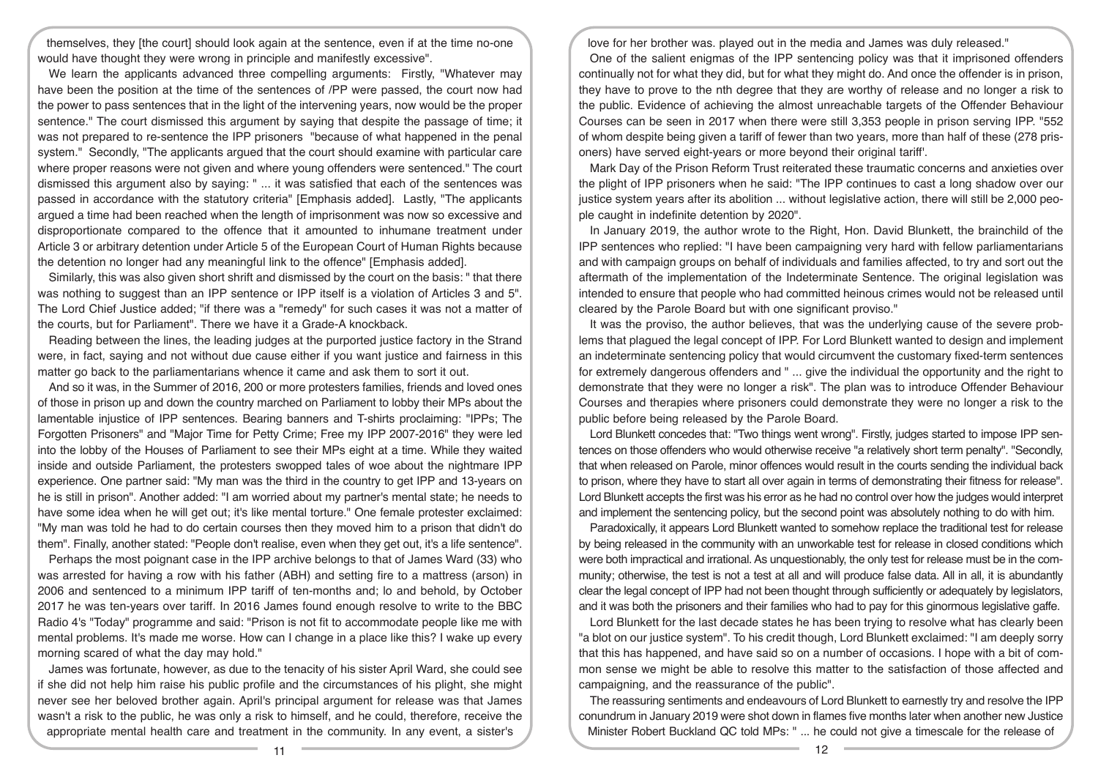themselves, they [the court] should look again at the sentence, even if at the time no-one would have thought they were wrong in principle and manifestly excessive".

We learn the applicants advanced three compelling arguments: Firstly, "Whatever may have been the position at the time of the sentences of /PP were passed, the court now had the power to pass sentences that in the light of the intervening years, now would be the proper sentence." The court dismissed this argument by saying that despite the passage of time; it was not prepared to re-sentence the IPP prisoners "because of what happened in the penal system." Secondly, "The applicants argued that the court should examine with particular care where proper reasons were not given and where young offenders were sentenced." The court dismissed this argument also by saying: " ... it was satisfied that each of the sentences was passed in accordance with the statutory criteria" [Emphasis added]. Lastly, "The applicants argued a time had been reached when the length of imprisonment was now so excessive and disproportionate compared to the offence that it amounted to inhumane treatment under Article 3 or arbitrary detention under Article 5 of the European Court of Human Rights because the detention no longer had any meaningful link to the offence" [Emphasis added].

Similarly, this was also given short shrift and dismissed by the court on the basis: " that there was nothing to suggest than an IPP sentence or IPP itself is a violation of Articles 3 and 5". The Lord Chief Justice added; "if there was a "remedy" for such cases it was not a matter of the courts, but for Parliament". There we have it a Grade-A knockback.

Reading between the lines, the leading judges at the purported justice factory in the Strand were, in fact, saying and not without due cause either if you want justice and fairness in this matter go back to the parliamentarians whence it came and ask them to sort it out.

And so it was, in the Summer of 2016, 200 or more protesters families, friends and loved ones of those in prison up and down the country marched on Parliament to lobby their MPs about the lamentable injustice of IPP sentences. Bearing banners and T-shirts proclaiming: "IPPs; The Forgotten Prisoners" and "Major Time for Petty Crime; Free my IPP 2007-2016" they were led into the lobby of the Houses of Parliament to see their MPs eight at a time. While they waited inside and outside Parliament, the protesters swopped tales of woe about the nightmare IPP experience. One partner said: "My man was the third in the country to get IPP and 13-years on he is still in prison". Another added: "I am worried about my partner's mental state; he needs to have some idea when he will get out; it's like mental torture." One female protester exclaimed: "My man was told he had to do certain courses then they moved him to a prison that didn't do them". Finally, another stated: "People don't realise, even when they get out, it's a life sentence".

Perhaps the most poignant case in the IPP archive belongs to that of James Ward (33) who was arrested for having a row with his father (ABH) and setting fire to a mattress (arson) in 2006 and sentenced to a minimum IPP tariff of ten-months and; lo and behold, by October 2017 he was ten-years over tariff. In 2016 James found enough resolve to write to the BBC Radio 4's "Today" programme and said: "Prison is not fit to accommodate people like me with mental problems. It's made me worse. How can I change in a place like this? I wake up every morning scared of what the day may hold."

James was fortunate, however, as due to the tenacity of his sister April Ward, she could see if she did not help him raise his public profile and the circumstances of his plight, she might never see her beloved brother again. April's principal argument for release was that James wasn't a risk to the public, he was only a risk to himself, and he could, therefore, receive the appropriate mental health care and treatment in the community. In any event, a sister's

love for her brother was. played out in the media and James was duly released."

One of the salient enigmas of the IPP sentencing policy was that it imprisoned offenders continually not for what they did, but for what they might do. And once the offender is in prison, they have to prove to the nth degree that they are worthy of release and no longer a risk to the public. Evidence of achieving the almost unreachable targets of the Offender Behaviour Courses can be seen in 2017 when there were still 3,353 people in prison serving IPP. "552 of whom despite being given a tariff of fewer than two years, more than half of these (278 prisoners) have served eight-years or more beyond their original tariff'.

Mark Day of the Prison Reform Trust reiterated these traumatic concerns and anxieties over the plight of IPP prisoners when he said: "The IPP continues to cast a long shadow over our justice system years after its abolition ... without legislative action, there will still be 2,000 people caught in indefinite detention by 2020".

In January 2019, the author wrote to the Right, Hon. David Blunkett, the brainchild of the IPP sentences who replied: "I have been campaigning very hard with fellow parliamentarians and with campaign groups on behalf of individuals and families affected, to try and sort out the aftermath of the implementation of the Indeterminate Sentence. The original legislation was intended to ensure that people who had committed heinous crimes would not be released until cleared by the Parole Board but with one significant proviso."

It was the proviso, the author believes, that was the underlying cause of the severe problems that plagued the legal concept of IPP. For Lord Blunkett wanted to design and implement an indeterminate sentencing policy that would circumvent the customary fixed-term sentences for extremely dangerous offenders and " ... give the individual the opportunity and the right to demonstrate that they were no longer a risk". The plan was to introduce Offender Behaviour Courses and therapies where prisoners could demonstrate they were no longer a risk to the public before being released by the Parole Board.

Lord Blunkett concedes that: "Two things went wrong". Firstly, judges started to impose IPP sentences on those offenders who would otherwise receive "a relatively short term penalty". "Secondly, that when released on Parole, minor offences would result in the courts sending the individual back to prison, where they have to start all over again in terms of demonstrating their fitness for release". Lord Blunkett accepts the first was his error as he had no control over how the judges would interpret and implement the sentencing policy, but the second point was absolutely nothing to do with him.

Paradoxically, it appears Lord Blunkett wanted to somehow replace the traditional test for release by being released in the community with an unworkable test for release in closed conditions which were both impractical and irrational. As unquestionably, the only test for release must be in the community; otherwise, the test is not a test at all and will produce false data. All in all, it is abundantly clear the legal concept of IPP had not been thought through sufficiently or adequately by legislators, and it was both the prisoners and their families who had to pay for this ginormous legislative gaffe.

Lord Blunkett for the last decade states he has been trying to resolve what has clearly been "a blot on our justice system". To his credit though, Lord Blunkett exclaimed: "I am deeply sorry that this has happened, and have said so on a number of occasions. I hope with a bit of common sense we might be able to resolve this matter to the satisfaction of those affected and campaigning, and the reassurance of the public".

The reassuring sentiments and endeavours of Lord Blunkett to earnestly try and resolve the IPP conundrum in January 2019 were shot down in flames five months later when another new Justice Minister Robert Buckland QC told MPs: " ... he could not give a timescale for the release of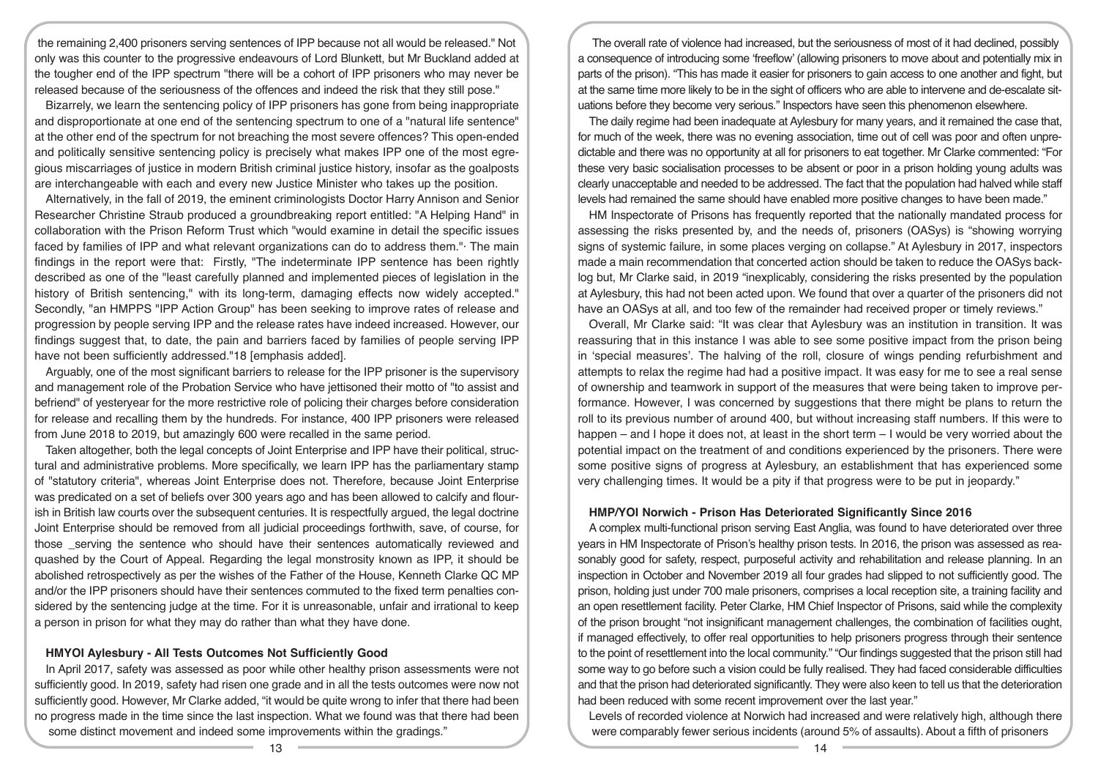the remaining 2,400 prisoners serving sentences of IPP because not all would be released." Not only was this counter to the progressive endeavours of Lord Blunkett, but Mr Buckland added at the tougher end of the IPP spectrum "there will be a cohort of IPP prisoners who may never be released because of the seriousness of the offences and indeed the risk that they still pose."

Bizarrely, we learn the sentencing policy of IPP prisoners has gone from being inappropriate and disproportionate at one end of the sentencing spectrum to one of a "natural life sentence" at the other end of the spectrum for not breaching the most severe offences? This open-ended and politically sensitive sentencing policy is precisely what makes IPP one of the most egregious miscarriages of justice in modern British criminal justice history, insofar as the goalposts are interchangeable with each and every new Justice Minister who takes up the position.

Alternatively, in the fall of 2019, the eminent criminologists Doctor Harry Annison and Senior Researcher Christine Straub produced a groundbreaking report entitled: "A Helping Hand" in collaboration with the Prison Reform Trust which "would examine in detail the specific issues faced by families of IPP and what relevant organizations can do to address them."· The main findings in the report were that: Firstly, "The indeterminate IPP sentence has been rightly described as one of the "least carefully planned and implemented pieces of legislation in the history of British sentencing," with its long-term, damaging effects now widely accepted." Secondly, "an HMPPS "IPP Action Group" has been seeking to improve rates of release and progression by people serving IPP and the release rates have indeed increased. However, our findings suggest that, to date, the pain and barriers faced by families of people serving IPP have not been sufficiently addressed."18 [emphasis added].

Arguably, one of the most significant barriers to release for the IPP prisoner is the supervisory and management role of the Probation Service who have jettisoned their motto of "to assist and befriend" of yesteryear for the more restrictive role of policing their charges before consideration for release and recalling them by the hundreds. For instance, 400 IPP prisoners were released from June 2018 to 2019, but amazingly 600 were recalled in the same period.

Taken altogether, both the legal concepts of Joint Enterprise and IPP have their political, structural and administrative problems. More specifically, we learn IPP has the parliamentary stamp of "statutory criteria", whereas Joint Enterprise does not. Therefore, because Joint Enterprise was predicated on a set of beliefs over 300 years ago and has been allowed to calcify and flourish in British law courts over the subsequent centuries. It is respectfully argued, the legal doctrine Joint Enterprise should be removed from all judicial proceedings forthwith, save, of course, for those \_serving the sentence who should have their sentences automatically reviewed and quashed by the Court of Appeal. Regarding the legal monstrosity known as IPP, it should be abolished retrospectively as per the wishes of the Father of the House, Kenneth Clarke QC MP and/or the IPP prisoners should have their sentences commuted to the fixed term penalties considered by the sentencing judge at the time. For it is unreasonable, unfair and irrational to keep a person in prison for what they may do rather than what they have done.

# **HMYOI Aylesbury - All Tests Outcomes Not Sufficiently Good**

In April 2017, safety was assessed as poor while other healthy prison assessments were not sufficiently good. In 2019, safety had risen one grade and in all the tests outcomes were now not sufficiently good. However, Mr Clarke added, "it would be quite wrong to infer that there had been no progress made in the time since the last inspection. What we found was that there had been some distinct movement and indeed some improvements within the gradings."

The overall rate of violence had increased, but the seriousness of most of it had declined, possibly a consequence of introducing some 'freeflow' (allowing prisoners to move about and potentially mix in parts of the prison). "This has made it easier for prisoners to gain access to one another and fight, but at the same time more likely to be in the sight of officers who are able to intervene and de-escalate situations before they become very serious." Inspectors have seen this phenomenon elsewhere.

The daily regime had been inadequate at Aylesbury for many years, and it remained the case that, for much of the week, there was no evening association, time out of cell was poor and often unpredictable and there was no opportunity at all for prisoners to eat together. Mr Clarke commented: "For these very basic socialisation processes to be absent or poor in a prison holding young adults was clearly unacceptable and needed to be addressed. The fact that the population had halved while staff levels had remained the same should have enabled more positive changes to have been made."

HM Inspectorate of Prisons has frequently reported that the nationally mandated process for assessing the risks presented by, and the needs of, prisoners (OASys) is "showing worrying signs of systemic failure, in some places verging on collapse." At Aylesbury in 2017, inspectors made a main recommendation that concerted action should be taken to reduce the OASys backlog but, Mr Clarke said, in 2019 "inexplicably, considering the risks presented by the population at Aylesbury, this had not been acted upon. We found that over a quarter of the prisoners did not have an OASys at all, and too few of the remainder had received proper or timely reviews."

Overall, Mr Clarke said: "It was clear that Aylesbury was an institution in transition. It was reassuring that in this instance I was able to see some positive impact from the prison being in 'special measures'. The halving of the roll, closure of wings pending refurbishment and attempts to relax the regime had had a positive impact. It was easy for me to see a real sense of ownership and teamwork in support of the measures that were being taken to improve performance. However, I was concerned by suggestions that there might be plans to return the roll to its previous number of around 400, but without increasing staff numbers. If this were to happen – and I hope it does not, at least in the short term – I would be very worried about the potential impact on the treatment of and conditions experienced by the prisoners. There were some positive signs of progress at Aylesbury, an establishment that has experienced some very challenging times. It would be a pity if that progress were to be put in jeopardy."

# **HMP/YOI Norwich - Prison Has Deteriorated Significantly Since 2016**

A complex multi-functional prison serving East Anglia, was found to have deteriorated over three years in HM Inspectorate of Prison's healthy prison tests. In 2016, the prison was assessed as reasonably good for safety, respect, purposeful activity and rehabilitation and release planning. In an inspection in October and November 2019 all four grades had slipped to not sufficiently good. The prison, holding just under 700 male prisoners, comprises a local reception site, a training facility and an open resettlement facility. Peter Clarke, HM Chief Inspector of Prisons, said while the complexity of the prison brought "not insignificant management challenges, the combination of facilities ought, if managed effectively, to offer real opportunities to help prisoners progress through their sentence to the point of resettlement into the local community." "Our findings suggested that the prison still had some way to go before such a vision could be fully realised. They had faced considerable difficulties and that the prison had deteriorated significantly. They were also keen to tell us that the deterioration had been reduced with some recent improvement over the last year."

Levels of recorded violence at Norwich had increased and were relatively high, although there were comparably fewer serious incidents (around 5% of assaults). About a fifth of prisoners